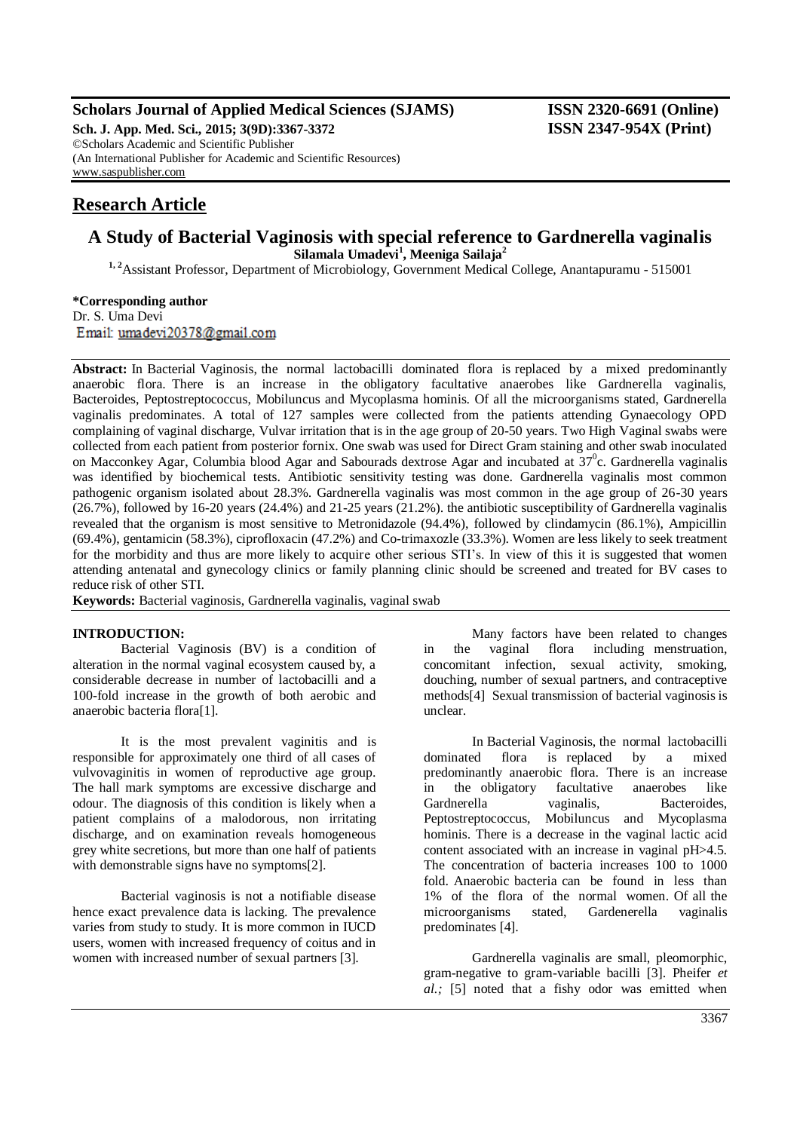### **Scholars Journal of Applied Medical Sciences (SJAMS) ISSN 2320-6691 (Online)**

**Sch. J. App. Med. Sci., 2015; 3(9D):3367-3372 ISSN 2347-954X (Print)** ©Scholars Academic and Scientific Publisher (An International Publisher for Academic and Scientific Resources) [www.saspublisher.com](http://www.saspublisher.com/)

## **Research Article**

# **A Study of Bacterial Vaginosis with special reference to Gardnerella vaginalis**

**Silamala Umadevi<sup>1</sup> , Meeniga Sailaja<sup>2</sup> 1, 2**Assistant Professor, Department of Microbiology, Government Medical College, Anantapuramu - 515001

**\*Corresponding author** Dr. S. Uma Devi Email: umadevi20378@gmail.com

**Abstract:** In Bacterial Vaginosis, the normal lactobacilli dominated flora is replaced by a mixed predominantly anaerobic flora. There is an increase in the obligatory facultative anaerobes like Gardnerella vaginalis, Bacteroides, Peptostreptococcus, Mobiluncus and Mycoplasma hominis. Of all the microorganisms stated, Gardnerella vaginalis predominates. A total of 127 samples were collected from the patients attending Gynaecology OPD complaining of vaginal discharge, Vulvar irritation that is in the age group of 20-50 years. Two High Vaginal swabs were collected from each patient from posterior fornix. One swab was used for Direct Gram staining and other swab inoculated on Macconkey Agar, Columbia blood Agar and Sabourads dextrose Agar and incubated at 37<sup>0</sup>c. Gardnerella vaginalis was identified by biochemical tests. Antibiotic sensitivity testing was done. Gardnerella vaginalis most common pathogenic organism isolated about 28.3%. Gardnerella vaginalis was most common in the age group of 26-30 years  $(26.7\%)$ , followed by 16-20 years  $(24.4\%)$  and  $21-25$  years  $(21.2\%)$ , the antibiotic susceptibility of Gardnerella vaginalis revealed that the organism is most sensitive to Metronidazole (94.4%), followed by clindamycin (86.1%), Ampicillin (69.4%), gentamicin (58.3%), ciprofloxacin (47.2%) and Co-trimaxozle (33.3%). Women are less likely to seek treatment for the morbidity and thus are more likely to acquire other serious STI's. In view of this it is suggested that women attending antenatal and gynecology clinics or family planning clinic should be screened and treated for BV cases to reduce risk of other STI.

**Keywords:** Bacterial vaginosis, Gardnerella vaginalis, vaginal swab

#### **INTRODUCTION:**

Bacterial Vaginosis (BV) is a condition of alteration in the normal vaginal ecosystem caused by, a considerable decrease in number of lactobacilli and a 100-fold increase in the growth of both aerobic and anaerobic bacteria flora[1].

It is the most prevalent vaginitis and is responsible for approximately one third of all cases of vulvovaginitis in women of reproductive age group. The hall mark symptoms are excessive discharge and odour. The diagnosis of this condition is likely when a patient complains of a malodorous, non irritating discharge, and on examination reveals homogeneous grey white secretions, but more than one half of patients with demonstrable signs have no symptoms[2].

Bacterial vaginosis is not a notifiable disease hence exact prevalence data is lacking. The prevalence varies from study to study. It is more common in IUCD users, women with increased frequency of coitus and in women with increased number of sexual partners [3].

Many factors have been related to changes in the vaginal flora including menstruation, concomitant infection, sexual activity, smoking, douching, number of sexual partners, and contraceptive methods[4] Sexual transmission of bacterial vaginosis is unclear.

In Bacterial Vaginosis, the normal lactobacilli dominated flora is replaced by a mixed predominantly anaerobic flora. There is an increase in the obligatory facultative anaerobes like Gardnerella vaginalis, Bacteroides, Peptostreptococcus, Mobiluncus and Mycoplasma hominis. There is a decrease in the vaginal lactic acid content associated with an increase in vaginal pH>4.5. The concentration of bacteria increases 100 to 1000 fold. Anaerobic bacteria can be found in less than 1% of the flora of the normal women. Of all the microorganisms stated, Gardenerella vaginalis predominates [4].

Gardnerella vaginalis are small, pleomorphic, gram-negative to gram-variable bacilli [3]. Pheifer *et al.;* [5] noted that a fishy odor was emitted when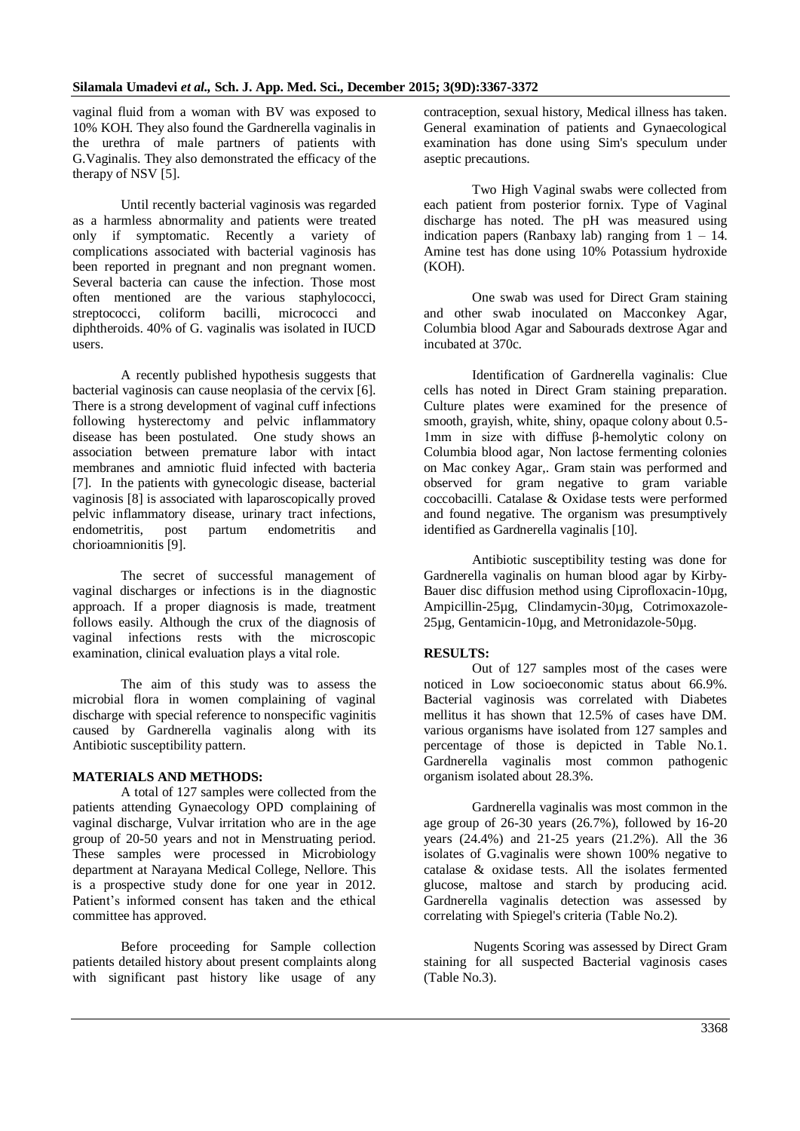vaginal fluid from a woman with BV was exposed to 10% KOH. They also found the Gardnerella vaginalis in the urethra of male partners of patients with G.Vaginalis. They also demonstrated the efficacy of the therapy of NSV [5].

Until recently bacterial vaginosis was regarded as a harmless abnormality and patients were treated only if symptomatic. Recently a variety of complications associated with bacterial vaginosis has been reported in pregnant and non pregnant women. Several bacteria can cause the infection. Those most often mentioned are the various staphylococci, streptococci, coliform bacilli, micrococci and diphtheroids. 40% of G. vaginalis was isolated in IUCD users.

A recently published hypothesis suggests that bacterial vaginosis can cause neoplasia of the cervix [6]. There is a strong development of vaginal cuff infections following hysterectomy and pelvic inflammatory disease has been postulated. One study shows an association between premature labor with intact membranes and amniotic fluid infected with bacteria [7]. In the patients with gynecologic disease, bacterial vaginosis [8] is associated with laparoscopically proved pelvic inflammatory disease, urinary tract infections, endometritis, post partum endometritis and chorioamnionitis [9].

The secret of successful management of vaginal discharges or infections is in the diagnostic approach. If a proper diagnosis is made, treatment follows easily. Although the crux of the diagnosis of vaginal infections rests with the microscopic examination, clinical evaluation plays a vital role.

The aim of this study was to assess the microbial flora in women complaining of vaginal discharge with special reference to nonspecific vaginitis caused by Gardnerella vaginalis along with its Antibiotic susceptibility pattern.

#### **MATERIALS AND METHODS:**

A total of 127 samples were collected from the patients attending Gynaecology OPD complaining of vaginal discharge, Vulvar irritation who are in the age group of 20-50 years and not in Menstruating period. These samples were processed in Microbiology department at Narayana Medical College, Nellore. This is a prospective study done for one year in 2012. Patient's informed consent has taken and the ethical committee has approved.

Before proceeding for Sample collection patients detailed history about present complaints along with significant past history like usage of any contraception, sexual history, Medical illness has taken. General examination of patients and Gynaecological examination has done using Sim's speculum under aseptic precautions.

Two High Vaginal swabs were collected from each patient from posterior fornix. Type of Vaginal discharge has noted. The pH was measured using indication papers (Ranbaxy lab) ranging from  $1 - 14$ . Amine test has done using 10% Potassium hydroxide (KOH).

One swab was used for Direct Gram staining and other swab inoculated on Macconkey Agar, Columbia blood Agar and Sabourads dextrose Agar and incubated at 370c.

Identification of Gardnerella vaginalis: Clue cells has noted in Direct Gram staining preparation. Culture plates were examined for the presence of smooth, grayish, white, shiny, opaque colony about 0.5- 1mm in size with diffuse β-hemolytic colony on Columbia blood agar, Non lactose fermenting colonies on Mac conkey Agar,. Gram stain was performed and observed for gram negative to gram variable coccobacilli. Catalase & Oxidase tests were performed and found negative. The organism was presumptively identified as Gardnerella vaginalis [10].

Antibiotic susceptibility testing was done for Gardnerella vaginalis on human blood agar by Kirby-Bauer disc diffusion method using Ciprofloxacin-10µg, Ampicillin-25µg, Clindamycin-30µg, Cotrimoxazole-25µg, Gentamicin-10µg, and Metronidazole-50µg.

#### **RESULTS:**

Out of 127 samples most of the cases were noticed in Low socioeconomic status about 66.9%. Bacterial vaginosis was correlated with Diabetes mellitus it has shown that 12.5% of cases have DM. various organisms have isolated from 127 samples and percentage of those is depicted in Table No.1. Gardnerella vaginalis most common pathogenic organism isolated about 28.3%.

Gardnerella vaginalis was most common in the age group of 26-30 years (26.7%), followed by 16-20 years (24.4%) and 21-25 years (21.2%). All the 36 isolates of G.vaginalis were shown 100% negative to catalase & oxidase tests. All the isolates fermented glucose, maltose and starch by producing acid. Gardnerella vaginalis detection was assessed by correlating with Spiegel's criteria (Table No.2).

 Nugents Scoring was assessed by Direct Gram staining for all suspected Bacterial vaginosis cases (Table No.3).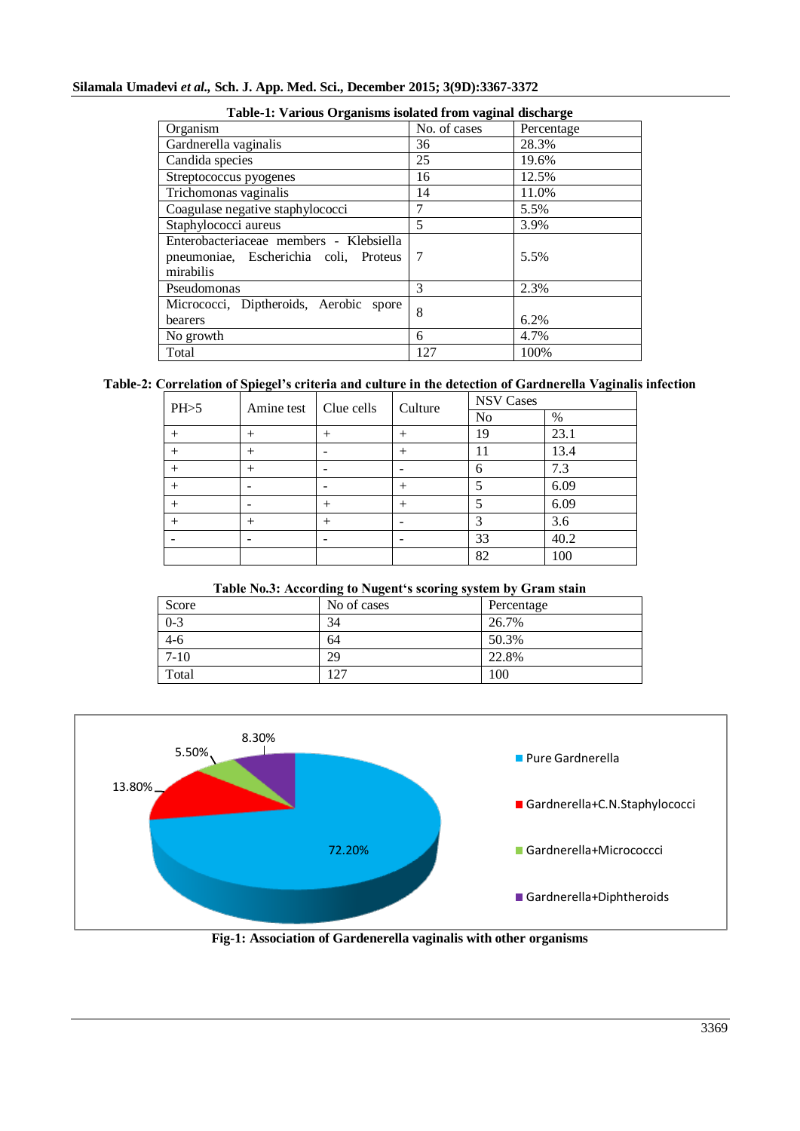#### **Silamala Umadevi** *et al.,* **Sch. J. App. Med. Sci., December 2015; 3(9D):3367-3372**

| Table-1. Val fous Of gamsins isolated If only vaginal discharge                               |              |            |  |
|-----------------------------------------------------------------------------------------------|--------------|------------|--|
| Organism                                                                                      | No. of cases | Percentage |  |
| Gardnerella vaginalis                                                                         | 36           | 28.3%      |  |
| Candida species                                                                               | 25           | 19.6%      |  |
| Streptococcus pyogenes                                                                        | 16           | 12.5%      |  |
| Trichomonas vaginalis                                                                         | 14           | 11.0%      |  |
| Coagulase negative staphylococci                                                              | 7            | 5.5%       |  |
| Staphylococci aureus                                                                          | 5            | 3.9%       |  |
| Enterobacteriaceae members - Klebsiella<br>pneumoniae, Escherichia coli, Proteus<br>mirabilis | 7            | 5.5%       |  |
| Pseudomonas                                                                                   | 3            | 2.3%       |  |
| Micrococci, Diptheroids, Aerobic spore<br>bearers                                             | 8            | 6.2%       |  |
| No growth                                                                                     | 6            | 4.7%       |  |
| Total                                                                                         | 127          | 100%       |  |

### **Table-1: Various Organisms isolated from vaginal discharge**

#### **Table-2: Correlation of Spiegel's criteria and culture in the detection of Gardnerella Vaginalis infection**

| PH>5   | Amine test | Clue cells | Culture | <b>NSV Cases</b> |      |
|--------|------------|------------|---------|------------------|------|
|        |            |            |         | No               | %    |
| $^{+}$ | $^+$       | ┿          | ╄       | 19               | 23.1 |
| $^{+}$ | $^+$       |            | ┿       | 11               | 13.4 |
| $^{+}$ | $^+$       |            |         | n                | 7.3  |
| $^+$   |            |            | +       |                  | 6.09 |
| $^+$   |            | $^+$       | ┿       |                  | 6.09 |
| $^+$   | $^+$       | ┿          |         | っ                | 3.6  |
|        |            |            |         | 33               | 40.2 |
|        |            |            |         | 82               | 100  |

| Table No.3: According to Nugent's scoring system by Gram stain |  |  |
|----------------------------------------------------------------|--|--|
|----------------------------------------------------------------|--|--|

| Score    | No of cases | Percentage |
|----------|-------------|------------|
| $0 - 3$  | 34          | 26.7%      |
| $4 - 6$  | 64          | 50.3%      |
| $7 - 10$ | 29          | 22.8%      |
| Total    | 127         | 100        |



**Fig-1: Association of Gardenerella vaginalis with other organisms**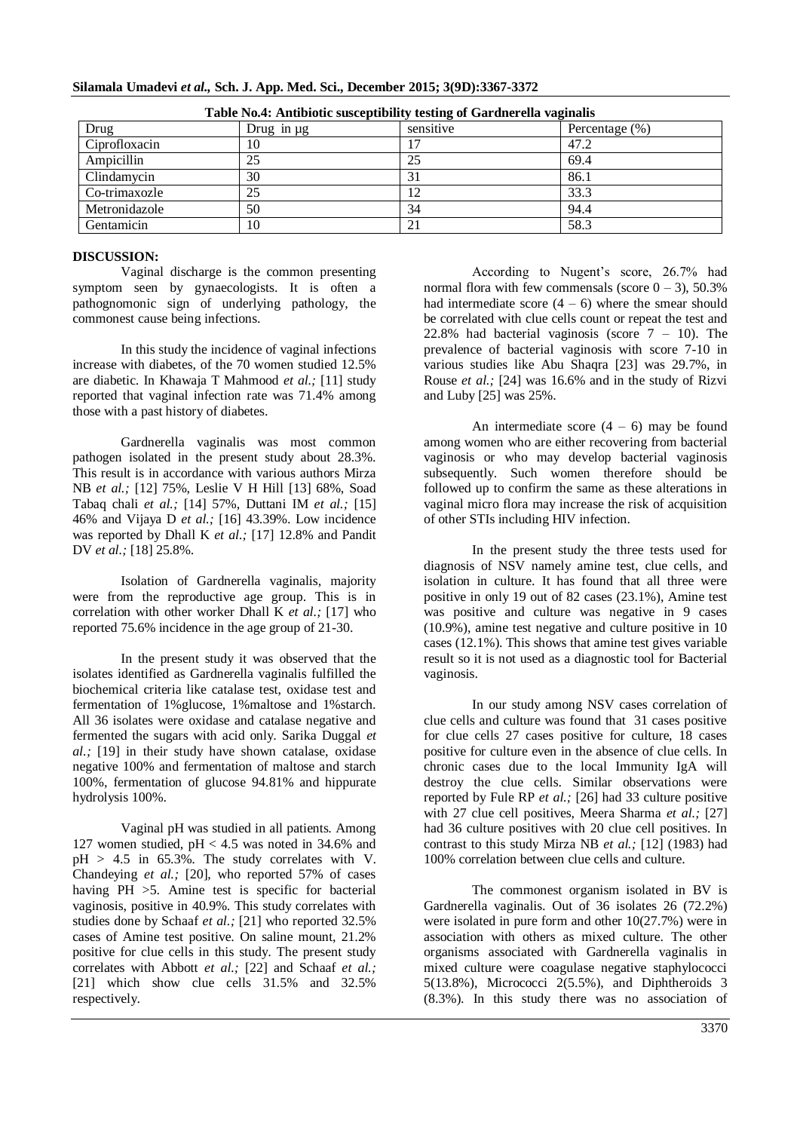| Silamala Umadevi et al., Sch. J. App. Med. Sci., December 2015; 3(9D):3367-3372 |  |  |  |
|---------------------------------------------------------------------------------|--|--|--|
|                                                                                 |  |  |  |

| Table Fost. And block susceptibility testing of Gardinerena vaginalis |                 |             |                    |  |
|-----------------------------------------------------------------------|-----------------|-------------|--------------------|--|
| Drug                                                                  | Drug in $\mu$ g | sensitive   | Percentage $(\% )$ |  |
| Ciprofloxacin                                                         | 10              |             | 47.2               |  |
| Ampicillin                                                            | 25              | 25          | 69.4               |  |
| Clindamycin                                                           | 30              |             | 86.1               |  |
| Co-trimaxozle                                                         | 25              |             | 33.3               |  |
| Metronidazole                                                         | 50              | 34          | 94.4               |  |
| Gentamicin                                                            | 10              | $\bigcap$ 1 | 58.3               |  |

**Table No.4: Antibiotic susceptibility testing of Gardnerella vaginalis**

#### **DISCUSSION:**

Vaginal discharge is the common presenting symptom seen by gynaecologists. It is often a pathognomonic sign of underlying pathology, the commonest cause being infections.

In this study the incidence of vaginal infections increase with diabetes, of the 70 women studied 12.5% are diabetic. In Khawaja T Mahmood *et al.;* [11] study reported that vaginal infection rate was 71.4% among those with a past history of diabetes.

Gardnerella vaginalis was most common pathogen isolated in the present study about 28.3%. This result is in accordance with various authors Mirza NB *et al.;* [12] 75%, Leslie V H Hill [13] 68%, Soad Tabaq chali *et al.;* [14] 57%, Duttani IM *et al.;* [15] 46% and Vijaya D *et al.;* [16] 43.39%. Low incidence was reported by Dhall K *et al.;* [17] 12.8% and Pandit DV *et al.;* [18] 25.8%.

Isolation of Gardnerella vaginalis, majority were from the reproductive age group. This is in correlation with other worker Dhall K *et al.;* [17] who reported 75.6% incidence in the age group of 21-30.

In the present study it was observed that the isolates identified as Gardnerella vaginalis fulfilled the biochemical criteria like catalase test, oxidase test and fermentation of 1%glucose, 1%maltose and 1%starch. All 36 isolates were oxidase and catalase negative and fermented the sugars with acid only. Sarika Duggal *et al.;* [19] in their study have shown catalase, oxidase negative 100% and fermentation of maltose and starch 100%, fermentation of glucose 94.81% and hippurate hydrolysis 100%.

Vaginal pH was studied in all patients. Among 127 women studied,  $pH < 4.5$  was noted in 34.6% and  $pH > 4.5$  in 65.3%. The study correlates with V. Chandeying *et al.;* [20], who reported 57% of cases having PH  $>5$ . Amine test is specific for bacterial vaginosis, positive in 40.9%. This study correlates with studies done by Schaaf *et al.;* [21] who reported 32.5% cases of Amine test positive. On saline mount, 21.2% positive for clue cells in this study. The present study correlates with Abbott *et al.;* [22] and Schaaf *et al.;* [21] which show clue cells  $31.5\%$  and  $32.5\%$ respectively.

According to Nugent's score, 26.7% had normal flora with few commensals (score  $0 - 3$ ), 50.3% had intermediate score  $(4 - 6)$  where the smear should be correlated with clue cells count or repeat the test and 22.8% had bacterial vaginosis (score  $7 - 10$ ). The prevalence of bacterial vaginosis with score 7-10 in various studies like Abu Shaqra [23] was 29.7%, in Rouse *et al.;* [24] was 16.6% and in the study of Rizvi and Luby [25] was 25%.

An intermediate score  $(4 - 6)$  may be found among women who are either recovering from bacterial vaginosis or who may develop bacterial vaginosis subsequently. Such women therefore should be followed up to confirm the same as these alterations in vaginal micro flora may increase the risk of acquisition of other STIs including HIV infection.

In the present study the three tests used for diagnosis of NSV namely amine test, clue cells, and isolation in culture. It has found that all three were positive in only 19 out of 82 cases (23.1%), Amine test was positive and culture was negative in 9 cases (10.9%), amine test negative and culture positive in 10 cases (12.1%). This shows that amine test gives variable result so it is not used as a diagnostic tool for Bacterial vaginosis.

In our study among NSV cases correlation of clue cells and culture was found that 31 cases positive for clue cells 27 cases positive for culture, 18 cases positive for culture even in the absence of clue cells. In chronic cases due to the local Immunity IgA will destroy the clue cells. Similar observations were reported by Fule RP *et al.;* [26] had 33 culture positive with 27 clue cell positives, Meera Sharma *et al.;* [27] had 36 culture positives with 20 clue cell positives. In contrast to this study Mirza NB *et al.;* [12] (1983) had 100% correlation between clue cells and culture.

The commonest organism isolated in BV is Gardnerella vaginalis. Out of 36 isolates 26 (72.2%) were isolated in pure form and other 10(27.7%) were in association with others as mixed culture. The other organisms associated with Gardnerella vaginalis in mixed culture were coagulase negative staphylococci 5(13.8%), Micrococci 2(5.5%), and Diphtheroids 3 (8.3%). In this study there was no association of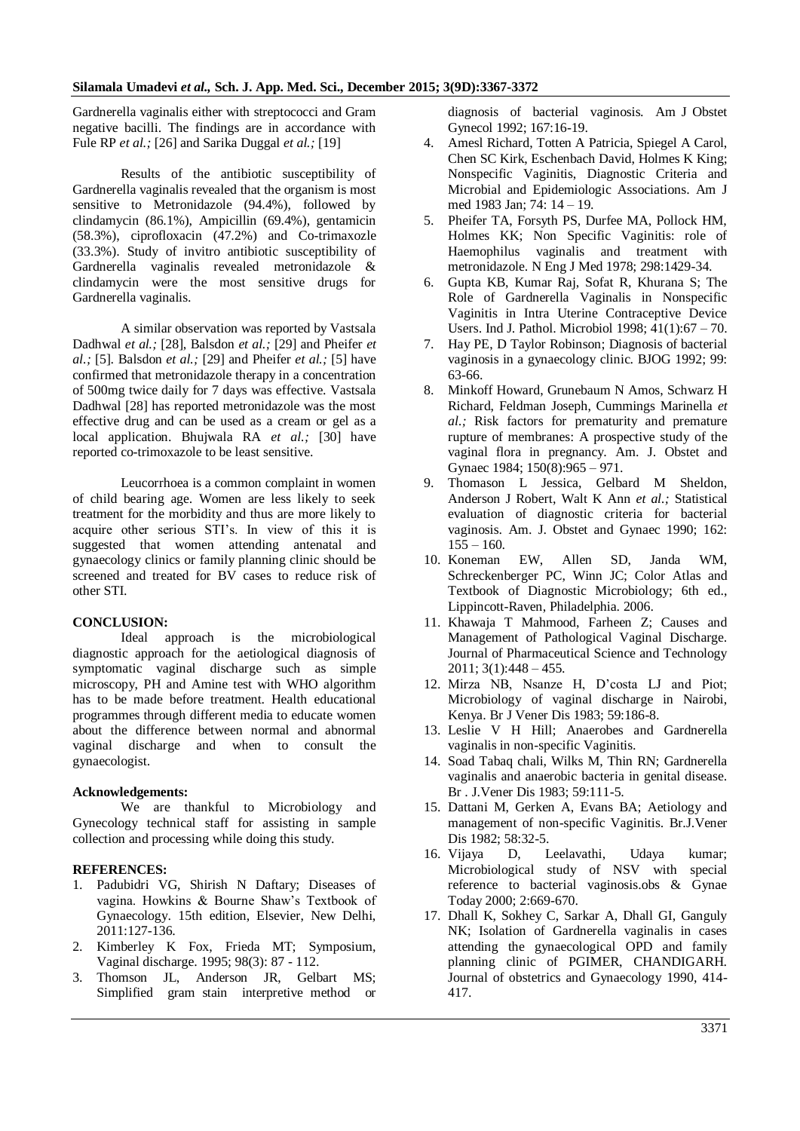Gardnerella vaginalis either with streptococci and Gram negative bacilli. The findings are in accordance with Fule RP *et al.;* [26] and Sarika Duggal *et al.;* [19]

Results of the antibiotic susceptibility of Gardnerella vaginalis revealed that the organism is most sensitive to Metronidazole (94.4%), followed by clindamycin (86.1%), Ampicillin (69.4%), gentamicin (58.3%), ciprofloxacin (47.2%) and Co-trimaxozle (33.3%). Study of invitro antibiotic susceptibility of Gardnerella vaginalis revealed metronidazole & clindamycin were the most sensitive drugs for Gardnerella vaginalis.

A similar observation was reported by Vastsala Dadhwal *et al.;* [28], Balsdon *et al.;* [29] and Pheifer *et al.;* [5]. Balsdon *et al.;* [29] and Pheifer *et al.;* [5] have confirmed that metronidazole therapy in a concentration of 500mg twice daily for 7 days was effective. Vastsala Dadhwal [28] has reported metronidazole was the most effective drug and can be used as a cream or gel as a local application. Bhujwala RA *et al.;* [30] have reported co-trimoxazole to be least sensitive.

Leucorrhoea is a common complaint in women of child bearing age. Women are less likely to seek treatment for the morbidity and thus are more likely to acquire other serious STI's. In view of this it is suggested that women attending antenatal and gynaecology clinics or family planning clinic should be screened and treated for BV cases to reduce risk of other STI.

#### **CONCLUSION:**

Ideal approach is the microbiological diagnostic approach for the aetiological diagnosis of symptomatic vaginal discharge such as simple microscopy, PH and Amine test with WHO algorithm has to be made before treatment. Health educational programmes through different media to educate women about the difference between normal and abnormal vaginal discharge and when to consult the gynaecologist.

#### **Acknowledgements:**

We are thankful to Microbiology and Gynecology technical staff for assisting in sample collection and processing while doing this study.

#### **REFERENCES:**

- 1. Padubidri VG, Shirish N Daftary; Diseases of vagina. Howkins & Bourne Shaw's Textbook of Gynaecology. 15th edition, Elsevier, New Delhi, 2011:127-136.
- 2. Kimberley K Fox, Frieda MT; Symposium, Vaginal discharge. 1995; 98(3): 87 - 112.
- 3. Thomson JL, Anderson JR, Gelbart MS; Simplified gram stain interpretive method or

diagnosis of bacterial vaginosis. Am J Obstet Gynecol 1992; 167:16-19.

- 4. Amesl Richard, Totten A Patricia, Spiegel A Carol, Chen SC Kirk, Eschenbach David, Holmes K King; Nonspecific Vaginitis, Diagnostic Criteria and Microbial and Epidemiologic Associations. Am J med 1983 Jan; 74: 14 – 19.
- 5. Pheifer TA, Forsyth PS, Durfee MA, Pollock HM, Holmes KK; Non Specific Vaginitis: role of Haemophilus vaginalis and treatment with metronidazole. N Eng J Med 1978; 298:1429-34.
- 6. Gupta KB, Kumar Raj, Sofat R, Khurana S; The Role of Gardnerella Vaginalis in Nonspecific Vaginitis in Intra Uterine Contraceptive Device Users. Ind J. Pathol. Microbiol 1998; 41(1):67 – 70.
- 7. Hay PE, D Taylor Robinson; Diagnosis of bacterial vaginosis in a gynaecology clinic. BJOG 1992; 99: 63-66.
- 8. Minkoff Howard, Grunebaum N Amos, Schwarz H Richard, Feldman Joseph, Cummings Marinella *et al.;* Risk factors for prematurity and premature rupture of membranes: A prospective study of the vaginal flora in pregnancy. Am. J. Obstet and Gynaec 1984; 150(8):965 – 971.
- 9. Thomason L Jessica, Gelbard M Sheldon, Anderson J Robert, Walt K Ann *et al.;* Statistical evaluation of diagnostic criteria for bacterial vaginosis. Am. J. Obstet and Gynaec 1990; 162:  $155 - 160.$
- 10. Koneman EW, Allen SD, Janda WM, Schreckenberger PC, Winn JC; Color Atlas and Textbook of Diagnostic Microbiology; 6th ed., Lippincott-Raven, Philadelphia. 2006.
- 11. Khawaja T Mahmood, Farheen Z; Causes and Management of Pathological Vaginal Discharge. Journal of Pharmaceutical Science and Technology  $2011$ ;  $3(1)$ ;  $448 - 455$ .
- 12. Mirza NB, Nsanze H, D'costa LJ and Piot; Microbiology of vaginal discharge in Nairobi, Kenya. Br J Vener Dis 1983; 59:186-8.
- 13. Leslie V H Hill; Anaerobes and Gardnerella vaginalis in non-specific Vaginitis.
- 14. Soad Tabaq chali, Wilks M, Thin RN; Gardnerella vaginalis and anaerobic bacteria in genital disease. Br . J.Vener Dis 1983; 59:111-5.
- 15. Dattani M, Gerken A, Evans BA; Aetiology and management of non-specific Vaginitis. Br.J.Vener Dis 1982; 58:32-5.
- 16. Vijaya D, Leelavathi, Udaya kumar; Microbiological study of NSV with special reference to bacterial vaginosis.obs & Gynae Today 2000; 2:669-670.
- 17. Dhall K, Sokhey C, Sarkar A, Dhall GI, Ganguly NK; Isolation of Gardnerella vaginalis in cases attending the gynaecological OPD and family planning clinic of PGIMER, CHANDIGARH. Journal of obstetrics and Gynaecology 1990, 414- 417.